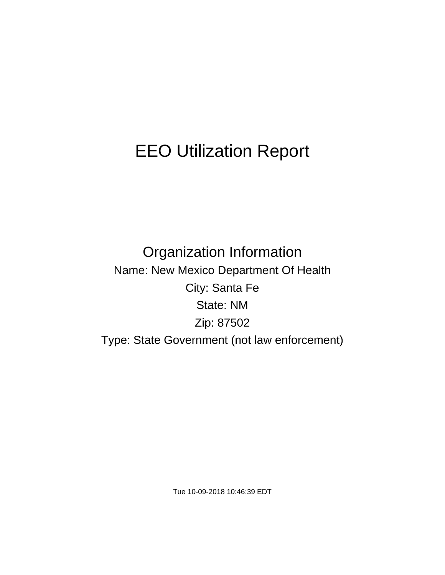# EEO Utilization Report

Organization Information Name: New Mexico Department Of Health City: Santa Fe State: NM Zip: 87502 Type: State Government (not law enforcement)

Tue 10-09-2018 10:46:39 EDT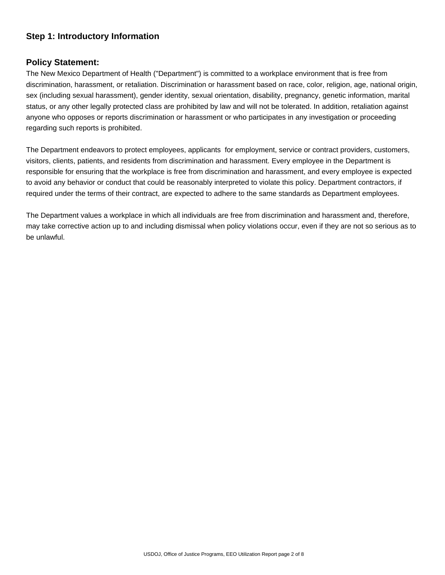# **Step 1: Introductory Information**

## **Policy Statement:**

The New Mexico Department of Health ("Department") is committed to a workplace environment that is free from discrimination, harassment, or retaliation. Discrimination or harassment based on race, color, religion, age, national origin, sex (including sexual harassment), gender identity, sexual orientation, disability, pregnancy, genetic information, marital status, or any other legally protected class are prohibited by law and will not be tolerated. In addition, retaliation against anyone who opposes or reports discrimination or harassment or who participates in any investigation or proceeding regarding such reports is prohibited.

The Department endeavors to protect employees, applicants for employment, service or contract providers, customers, visitors, clients, patients, and residents from discrimination and harassment. Every employee in the Department is responsible for ensuring that the workplace is free from discrimination and harassment, and every employee is expected to avoid any behavior or conduct that could be reasonably interpreted to violate this policy. Department contractors, if required under the terms of their contract, are expected to adhere to the same standards as Department employees.

The Department values a workplace in which all individuals are free from discrimination and harassment and, therefore, may take corrective action up to and including dismissal when policy violations occur, even if they are not so serious as to be unlawful.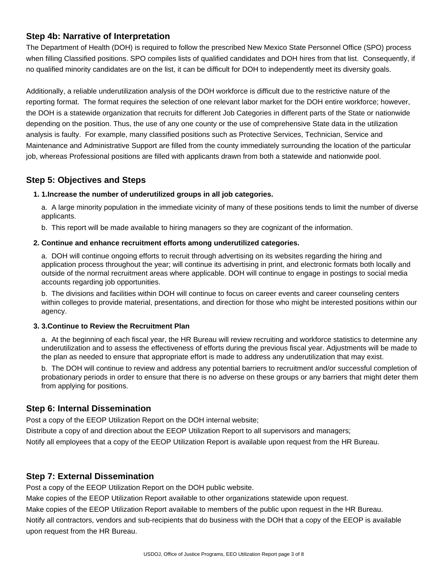# **Step 4b: Narrative of Interpretation**

The Department of Health (DOH) is required to follow the prescribed New Mexico State Personnel Office (SPO) process when filling Classified positions. SPO compiles lists of qualified candidates and DOH hires from that list. Consequently, if no qualified minority candidates are on the list, it can be difficult for DOH to independently meet its diversity goals.

Additionally, a reliable underutilization analysis of the DOH workforce is difficult due to the restrictive nature of the reporting format. The format requires the selection of one relevant labor market for the DOH entire workforce; however, the DOH is a statewide organization that recruits for different Job Categories in different parts of the State or nationwide depending on the position. Thus, the use of any one county or the use of comprehensive State data in the utilization analysis is faulty. For example, many classified positions such as Protective Services, Technician, Service and Maintenance and Administrative Support are filled from the county immediately surrounding the location of the particular job, whereas Professional positions are filled with applicants drawn from both a statewide and nationwide pool.

# **Step 5: Objectives and Steps**

### **1. 1. Increase the number of underutilized groups in all job categories.**

a. A large minority population in the immediate vicinity of many of these positions tends to limit the number of diverse applicants.

b. This report will be made available to hiring managers so they are cognizant of the information.

#### **2. Continue and enhance recruitment efforts among underutilized categories.**

a. DOH will continue ongoing efforts to recruit through advertising on its websites regarding the hiring and application process throughout the year; will continue its advertising in print, and electronic formats both locally and outside of the normal recruitment areas where applicable. DOH will continue to engage in postings to social media accounts regarding job opportunities.

b. The divisions and facilities within DOH will continue to focus on career events and career counseling centers within colleges to provide material, presentations, and direction for those who might be interested positions within our agency.

#### **3. 3. Continue to Review the Recruitment Plan**

a. At the beginning of each fiscal year, the HR Bureau will review recruiting and workforce statistics to determine any underutilization and to assess the effectiveness of efforts during the previous fiscal year. Adjustments will be made to the plan as needed to ensure that appropriate effort is made to address any underutilization that may exist.

b. The DOH will continue to review and address any potential barriers to recruitment and/or successful completion of probationary periods in order to ensure that there is no adverse on these groups or any barriers that might deter them from applying for positions.

## **Step 6: Internal Dissemination**

Post a copy of the EEOP Utilization Report on the DOH internal website;

Distribute a copy of and direction about the EEOP Utilization Report to all supervisors and managers;

Notify all employees that a copy of the EEOP Utilization Report is available upon request from the HR Bureau.

# **Step 7: External Dissemination**

Post a copy of the EEOP Utilization Report on the DOH public website.

Make copies of the EEOP Utilization Report available to other organizations statewide upon request.

Make copies of the EEOP Utilization Report available to members of the public upon request in the HR Bureau.

Notify all contractors, vendors and sub-recipients that do business with the DOH that a copy of the EEOP is available upon request from the HR Bureau.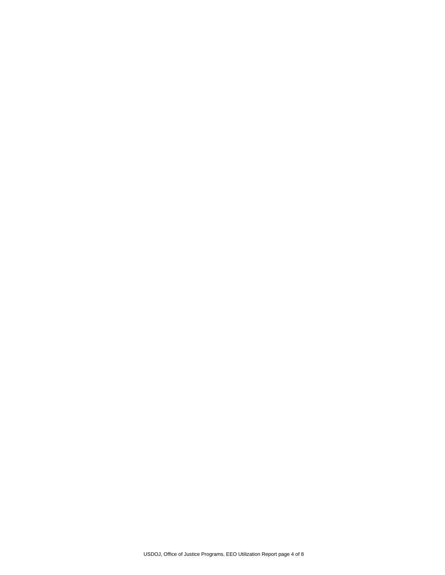USDOJ, Office of Justice Programs, EEO Utilization Report page 4 of 8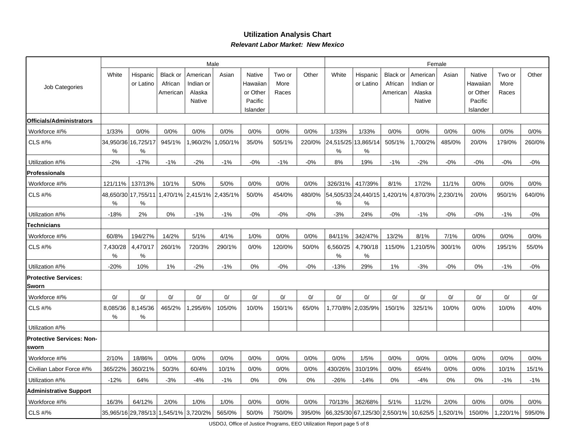## **Utilization Analysis ChartRelevant Labor Market: New Mexico**

|                                           |               | Male                     |                                        |                                           |         |                                           |                         |        |               |                                                     | Female                          |                                           |          |                                                  |                         |        |  |  |
|-------------------------------------------|---------------|--------------------------|----------------------------------------|-------------------------------------------|---------|-------------------------------------------|-------------------------|--------|---------------|-----------------------------------------------------|---------------------------------|-------------------------------------------|----------|--------------------------------------------------|-------------------------|--------|--|--|
| Job Categories                            | White         | Hispanic<br>or Latino    | <b>Black or</b><br>African<br>American | American<br>Indian or<br>Alaska<br>Native | Asian   | Native<br>Hawaiian<br>or Other<br>Pacific | Two or<br>More<br>Races | Other  | White         | Hispanic<br>or Latino                               | Black or<br>African<br>American | American<br>Indian or<br>Alaska<br>Native | Asian    | <b>Native</b><br>Hawaiiar<br>or Other<br>Pacific | Two or<br>More<br>Races | Other  |  |  |
|                                           |               |                          |                                        |                                           |         | Islander                                  |                         |        |               |                                                     |                                 |                                           |          | Islander                                         |                         |        |  |  |
| Officials/Administrators                  |               |                          |                                        |                                           |         |                                           |                         |        |               |                                                     |                                 |                                           |          |                                                  |                         |        |  |  |
| Workforce #/%                             | 1/33%         | 0/0%                     | 0/0%                                   | 0/0%                                      | 0/0%    | 0/0%                                      | 0/0%                    | 0/0%   | 1/33%         | 1/33%                                               | 0/0%                            | 0/0%                                      | 0/0%     | 0/0%                                             | 0/0%                    | 0/0%   |  |  |
| <b>CLS #/%</b>                            | ℅             | 34,950/36 16,725/17<br>% | 945/1%                                 | ,960/2%                                   | ,050/1% | 35/0%                                     | 505/1%                  | 220/0% | %             | 24,515/25 13,865/14<br>%                            | 505/1%                          | 1,700/2%                                  | 485/0%   | 20/0%                                            | 179/0%                  | 260/0% |  |  |
| Utilization #/%                           | $-2%$         | $-17%$                   | $-1%$                                  | $-2%$                                     | $-1%$   | $-0%$                                     | $-1%$                   | $-0%$  | 8%            | 19%                                                 | $-1%$                           | $-2%$                                     | $-0%$    | $-0%$                                            | $-0%$                   | $-0\%$ |  |  |
| <b>Professionals</b>                      |               |                          |                                        |                                           |         |                                           |                         |        |               |                                                     |                                 |                                           |          |                                                  |                         |        |  |  |
| Workforce #/%                             | 121/11%       | 137/13%                  | 10/1%                                  | 5/0%                                      | 5/0%    | 0/0%                                      | 0/0%                    | 0/0%   | 326/31%       | 417/39%                                             | 8/1%                            | 17/2%                                     | 11/1%    | 0/0%                                             | 0/0%                    | 0/0%   |  |  |
| CLS #/%                                   | ℅             | 48,650/30 17,755/11<br>℅ |                                        | 1,470/1% 2,415/1% 2,435/1%                |         | 50/0%                                     | 454/0%                  | 480/0% | %             | 54,505/33 24,440/15 1,420/1% 4,870/3% 2,230/1%<br>% |                                 |                                           |          | 20/0%                                            | 950/1%                  | 640/0% |  |  |
| Utilization #/%                           | $-18%$        | 2%                       | 0%                                     | $-1%$                                     | $-1%$   | $-0%$                                     | $-0%$                   | $-0%$  | $-3%$         | 24%                                                 | $-0%$                           | $-1%$                                     | $-0%$    | $-0%$                                            | $-1%$                   | $-0\%$ |  |  |
| Technicians                               |               |                          |                                        |                                           |         |                                           |                         |        |               |                                                     |                                 |                                           |          |                                                  |                         |        |  |  |
| Workforce #/%                             | 60/8%         | 194/27%                  | 14/2%                                  | 5/1%                                      | 4/1%    | 1/0%                                      | 0/0%                    | 0/0%   | 84/11%        | 342/47%                                             | 13/2%                           | 8/1%                                      | 7/1%     | 0/0%                                             | 0/0%                    | 0/0%   |  |  |
| CLS #/%                                   | 7,430/28<br>% | 4,470/17<br>℅            | 260/1%                                 | 720/3%                                    | 290/1%  | 0/0%                                      | 120/0%                  | 50/0%  | 6,560/25<br>% | 4,790/18<br>%                                       | 115/0%                          | ,210/5%                                   | 300/1%   | 0/0%                                             | 195/1%                  | 55/0%  |  |  |
| Utilization #/%                           | $-20%$        | 10%                      | 1%                                     | $-2%$                                     | $-1%$   | 0%                                        | $-0%$                   | $-0%$  | $-13%$        | 29%                                                 | 1%                              | $-3%$                                     | $-0%$    | 0%                                               | $-1%$                   | $-0\%$ |  |  |
| <b>Protective Services:</b><br>Sworn      |               |                          |                                        |                                           |         |                                           |                         |        |               |                                                     |                                 |                                           |          |                                                  |                         |        |  |  |
| Workforce #/%                             | 0/            | 0/                       | 0/                                     | 0/                                        | 0/      | 0/                                        | 0/                      | 0/     | 0/            | 0/                                                  | 0/                              | 0/                                        | 0/       | 0/                                               | 0/                      | 0/     |  |  |
| CLS #/%                                   | 8,085/36<br>% | 8,145/36<br>$\%$         | 465/2%                                 | ,295/6%                                   | 105/0%  | 10/0%                                     | 150/1%                  | 65/0%  |               | 1,770/8% 2,035/9%                                   | 150/1%                          | 325/1%                                    | 10/0%    | 0/0%                                             | 10/0%                   | 4/0%   |  |  |
| Utilization #/%                           |               |                          |                                        |                                           |         |                                           |                         |        |               |                                                     |                                 |                                           |          |                                                  |                         |        |  |  |
| <b>Protective Services: Non-</b><br>sworn |               |                          |                                        |                                           |         |                                           |                         |        |               |                                                     |                                 |                                           |          |                                                  |                         |        |  |  |
| Workforce #/%                             | 2/10%         | 18/86%                   | 0/0%                                   | 0/0%                                      | 0/0%    | 0/0%                                      | 0/0%                    | 0/0%   | 0/0%          | 1/5%                                                | 0/0%                            | 0/0%                                      | 0/0%     | 0/0%                                             | 0/0%                    | 0/0%   |  |  |
| Civilian Labor Force #/%                  | 365/22%       | 360/21%                  | 50/3%                                  | 60/4%                                     | 10/1%   | 0/0%                                      | 0/0%                    | 0/0%   | 430/26%       | 310/19%                                             | 0/0%                            | 65/4%                                     | 0/0%     | 0/0%                                             | 10/1%                   | 15/1%  |  |  |
| Utilization #/%                           | $-12%$        | 64%                      | $-3%$                                  | $-4%$                                     | $-1%$   | 0%                                        | 0%                      | 0%     | $-26%$        | $-14%$                                              | 0%                              | $-4%$                                     | 0%       | 0%                                               | $-1%$                   | $-1%$  |  |  |
| <b>Administrative Support</b>             |               |                          |                                        |                                           |         |                                           |                         |        |               |                                                     |                                 |                                           |          |                                                  |                         |        |  |  |
| Workforce #/%                             | 16/3%         | 64/12%                   | 2/0%                                   | 1/0%                                      | 1/0%    | 0/0%                                      | 0/0%                    | 0/0%   | 70/13%        | 362/68%                                             | 5/1%                            | 11/2%                                     | 2/0%     | 0/0%                                             | 0/0%                    | 0/0%   |  |  |
| CLS #/%                                   |               |                          |                                        | 35,965/16 29,785/13  1,545/1%   3,720/2%  | 565/0%  | 50/0%                                     | 750/0%                  | 395/0% |               | 66,325/30 67,125/30 2,550/1%                        |                                 | 10,625/5                                  | 1,520/1% | 150/0%                                           | ,220/1%                 | 595/0% |  |  |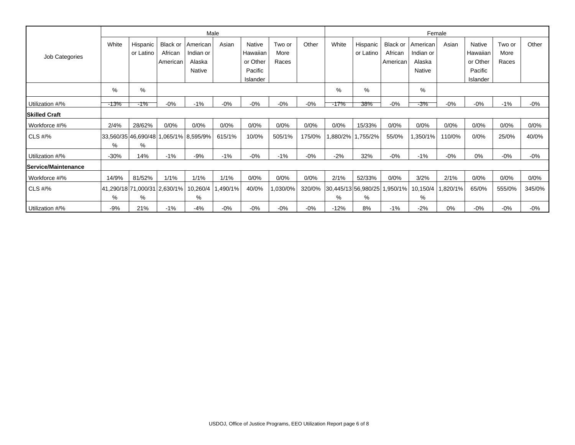|                      |        |                              |                            |                                       | Male    |                    |                | Female |         |                              |                     |                       |            |                    |                |        |
|----------------------|--------|------------------------------|----------------------------|---------------------------------------|---------|--------------------|----------------|--------|---------|------------------------------|---------------------|-----------------------|------------|--------------------|----------------|--------|
|                      | White  | Hispanic<br>or Latino        | <b>Black or</b><br>African | American<br>Indian or                 | Asian   | Native<br>Hawaiian | Two or<br>More | Other  | White   | Hispanic<br>or Latino        | Black or<br>African | American<br>Indian or | Asian      | Native<br>Hawaiian | Two or<br>More | Other  |
| Job Categories       |        |                              | American                   | Alaska                                |         | or Other           | Races          |        |         |                              | American            | Alaska                |            | or Other           | Races          |        |
|                      |        |                              |                            | Native                                |         | Pacific            |                |        |         |                              |                     | Native                |            | Pacific            |                |        |
|                      |        |                              |                            |                                       |         | Islander           |                |        |         |                              |                     |                       |            | Islander           |                |        |
|                      | %      | %                            |                            |                                       |         |                    |                |        | %       | %                            |                     | %                     |            |                    |                |        |
| Utilization #/%      | -13%   | -1%                          | $-0%$                      | $-1%$                                 | $-0%$   | $-0%$              | $-0%$          | $-0%$  | -17%    | $38\%$                       | $-0%$               | $-3\%$                | $-0%$      | $-0%$              | $-1%$          | $-0%$  |
| <b>Skilled Craft</b> |        |                              |                            |                                       |         |                    |                |        |         |                              |                     |                       |            |                    |                |        |
| Workforce #/%        | 2/4%   | 28/62%                       | 0/0%                       | 0/0%                                  | 0/0%    | 0/0%               | 0/0%           | 0/0%   | 0/0%    | 15/33%                       | 0/0%                | 0/0%                  | 0/0%       | 0/0%               | 0/0%           | 0/0%   |
| CLS #/%              | %      | %                            |                            | 33,560/35 46,690/48 1,065/1% 8,595/9% | 615/1%  | 10/0%              | 505/1%         | 175/0% | .880/2% | 1,755/2%                     | 55/0%               | ا %350/1.             | 110/0%     | 0/0%               | 25/0%          | 40/0%  |
| Utilization #/%      | $-30%$ | 14%                          | $-1%$                      | $-9%$                                 | $-1%$   | $-0%$              | $-1%$          | $-0%$  | $-2%$   | 32%                          | $-0%$               | $-1%$                 | $-0%$      | 0%                 | $-0%$          | $-0%$  |
| Service/Maintenance  |        |                              |                            |                                       |         |                    |                |        |         |                              |                     |                       |            |                    |                |        |
| Workforce #/%        | 14/9%  | 81/52%                       | 1/1%                       | 1/1%                                  | 1/1%    | 0/0%               | 0/0%           | 0/0%   | 2/1%    | 52/33%                       | 0/0%                | 3/2%                  | 2/1%       | 0/0%               | 0/0%           | 0/0%   |
| CLS #/%              |        | 41,290/18 71,000/31 2,630/1% |                            | 10,260/4                              | ,490/1% | 40/0%              | 1,030/0%       | 320/0% |         | 30,445/13 56,980/25 1,950/1% |                     | 10,150/4              | $.820/1\%$ | 65/0%              | 555/0%         | 345/0% |
|                      | %      | %                            |                            | %                                     |         |                    |                |        | %       | %                            |                     | %                     |            |                    |                |        |
| Utilization #/%      | $-9%$  | 21%                          | $-1%$                      | $-4%$                                 | $-0%$   | $-0%$              | $-0%$          | $-0%$  | $-12%$  | 8%                           | $-1%$               | $-2%$                 | 0%         | $-0%$              | $-0%$          | -0%    |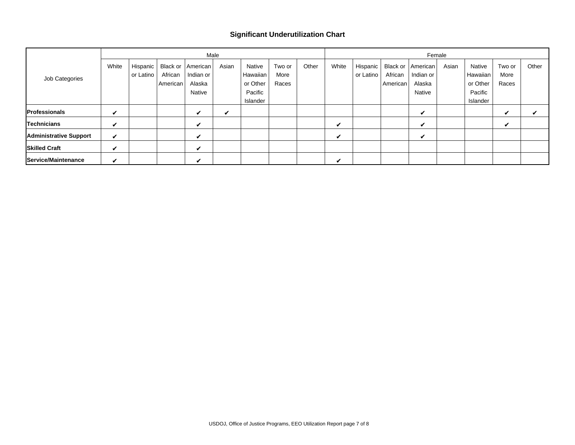### **Significant Underutilization Chart**

| Job Categories                |       |                       |                                 | Male                                      |       |                                           |                         | Female |       |                         |                                 |                                           |       |                                           |                         |       |
|-------------------------------|-------|-----------------------|---------------------------------|-------------------------------------------|-------|-------------------------------------------|-------------------------|--------|-------|-------------------------|---------------------------------|-------------------------------------------|-------|-------------------------------------------|-------------------------|-------|
|                               | White | Hispanic<br>or Latino | Black or<br>African<br>American | American<br>Indian or<br>Alaska<br>Native | Asian | Native<br>Hawaiian<br>or Other<br>Pacific | Two or<br>More<br>Races | Other  | White | Hispanic  <br>or Latino | Black or<br>African<br>American | American<br>Indian or<br>Alaska<br>Native | Asian | Native<br>Hawaiian<br>or Other<br>Pacific | Two or<br>More<br>Races | Other |
|                               |       |                       |                                 |                                           |       | Islander                                  |                         |        |       |                         |                                 |                                           |       | Islander                                  |                         |       |
| Professionals                 | V     |                       |                                 | ✔                                         | ✔     |                                           |                         |        |       |                         |                                 | ✔                                         |       |                                           | v                       | v     |
| Technicians                   | ✓     |                       |                                 | ✓                                         |       |                                           |                         |        | ✔     |                         |                                 | v                                         |       |                                           | v                       |       |
| <b>Administrative Support</b> | ✓     |                       |                                 | ✓                                         |       |                                           |                         |        | ✓     |                         |                                 | ✔                                         |       |                                           |                         |       |
| <b>Skilled Craft</b>          | V     |                       |                                 | ✔                                         |       |                                           |                         |        |       |                         |                                 |                                           |       |                                           |                         |       |
| Service/Maintenance           | V     |                       |                                 | ✔                                         |       |                                           |                         |        | ✓     |                         |                                 |                                           |       |                                           |                         |       |